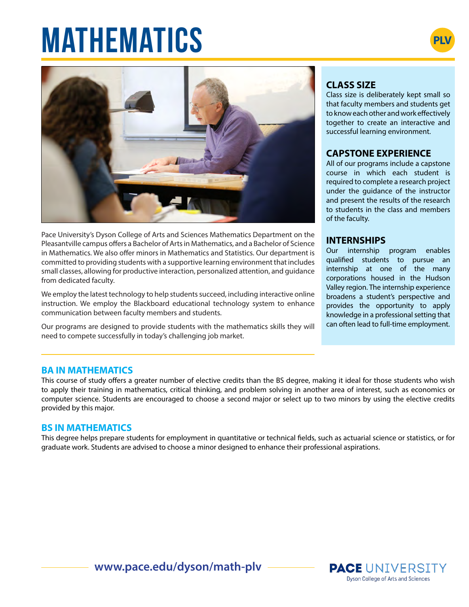# **MATHEMATICS**





Pace University's Dyson College of Arts and Sciences Mathematics Department on the Pleasantville campus offers a Bachelor of Arts in Mathematics, and a Bachelor of Science in Mathematics. We also offer minors in Mathematics and Statistics. Our department is committed to providing students with a supportive learning environment that includes small classes, allowing for productive interaction, personalized attention, and guidance from dedicated faculty.

We employ the latest technology to help students succeed, including interactive online instruction. We employ the Blackboard educational technology system to enhance communication between faculty members and students.

Our programs are designed to provide students with the mathematics skills they will need to compete successfully in today's challenging job market.

# **CLASS SIZE**

Class size is deliberately kept small so that faculty members and students get to know each other and work effectively together to create an interactive and successful learning environment.

## **CAPSTONE EXPERIENCE**

All of our programs include a capstone course in which each student is required to complete a research project under the guidance of the instructor and present the results of the research to students in the class and members of the faculty.

## **INTERNSHIPS**

Our internship program enables qualified students to pursue an internship at one of the many corporations housed in the Hudson Valley region. The internship experience broadens a student's perspective and provides the opportunity to apply knowledge in a professional setting that can often lead to full-time employment.

**PACE UNIVERSITY** Dyson College of Arts and Sciences

#### **BA IN MATHEMATICS**

This course of study offers a greater number of elective credits than the BS degree, making it ideal for those students who wish to apply their training in mathematics, critical thinking, and problem solving in another area of interest, such as economics or computer science. Students are encouraged to choose a second major or select up to two minors by using the elective credits provided by this major.

#### **BS IN MATHEMATICS**

This degree helps prepare students for employment in quantitative or technical fields, such as actuarial science or statistics, or for graduate work. Students are advised to choose a minor designed to enhance their professional aspirations.